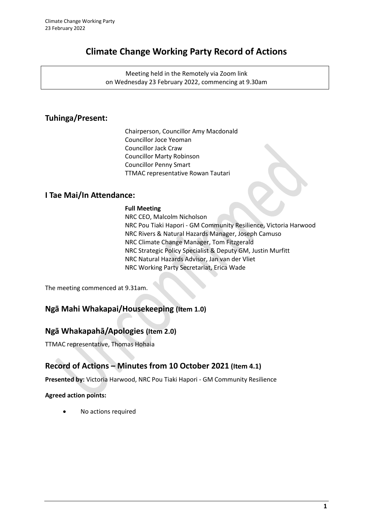# **Climate Change Working Party Record of Actions**

Meeting held in the Remotely via Zoom link on Wednesday 23 February 2022, commencing at 9.30am

# **Tuhinga/Present:**

Chairperson, Councillor Amy Macdonald Councillor Joce Yeoman Councillor Jack Craw Councillor Marty Robinson Councillor Penny Smart TTMAC representative Rowan Tautari

## **I Tae Mai/In Attendance:**

#### **Full Meeting**

NRC CEO, Malcolm Nicholson NRC Pou Tiaki Hapori - GM Community Resilience, Victoria Harwood NRC Rivers & Natural Hazards Manager, Joseph Camuso NRC Climate Change Manager, Tom Fitzgerald NRC Strategic Policy Specialist & Deputy GM, Justin Murfitt NRC Natural Hazards Advisor, Jan van der Vliet NRC Working Party Secretariat, Erica Wade

The meeting commenced at 9.31am.

## **Ngā Mahi Whakapai/Housekeeping (Item 1.0)**

# **Ngā Whakapahā/Apologies (Item 2.0)**

TTMAC representative, Thomas Hohaia

# **Record of Actions – Minutes from 10 October 2021 (Item 4.1)**

**Presented by:** Victoria Harwood, NRC Pou Tiaki Hapori - GM Community Resilience

### **Agreed action points:**

• No actions required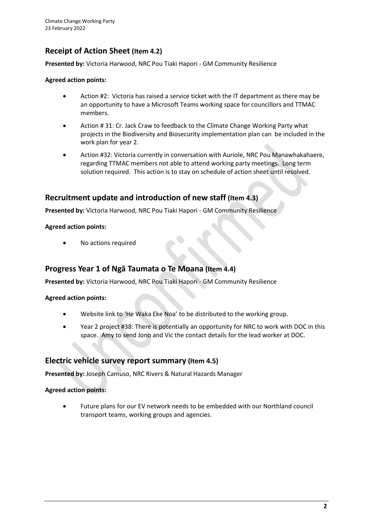## **Receipt of Action Sheet (Item 4.2)**

**Presented by:** Victoria Harwood, NRC Pou Tiaki Hapori - GM Community Resilience

#### **Agreed action points:**

- Action #2: Victoria has raised a service ticket with the IT department as there may be an opportunity to have a Microsoft Teams working space for councillors and TTMAC members.
- Action # 31: Cr. Jack Craw to feedback to the Climate Change Working Party what projects in the Biodiversity and Biosecurity implementation plan can be included in the work plan for year 2.
- Action #32: Victoria currently in conversation with Auriole, NRC Pou Manawhakahaere, regarding TTMAC members not able to attend working party meetings. Long term solution required. This action is to stay on schedule of action sheet until resolved.

## **Recruitment update and introduction of new staff (Item 4.3)**

**Presented by:** Victoria Harwood, NRC Pou Tiaki Hapori - GM Community Resilience

#### **Agreed action points:**

• No actions required

## **Progress Year 1 of Ngā Taumata o Te Moana (Item 4.4)**

**Presented by:** Victoria Harwood, NRC Pou Tiaki Hapori - GM Community Resilience

**Agreed action points:** 

- Website link to 'He Waka Eke Noa' to be distributed to the working group.
- Year 2 project #38: There is potentially an opportunity for NRC to work with DOC in this space. Amy to send Jono and Vic the contact details for the lead worker at DOC.

## **Electric vehicle survey report summary (Item 4.5)**

**Presented by:** Joseph Camuso, NRC Rivers & Natural Hazards Manager

**Agreed action points:** 

• Future plans for our EV network needs to be embedded with our Northland council transport teams, working groups and agencies.